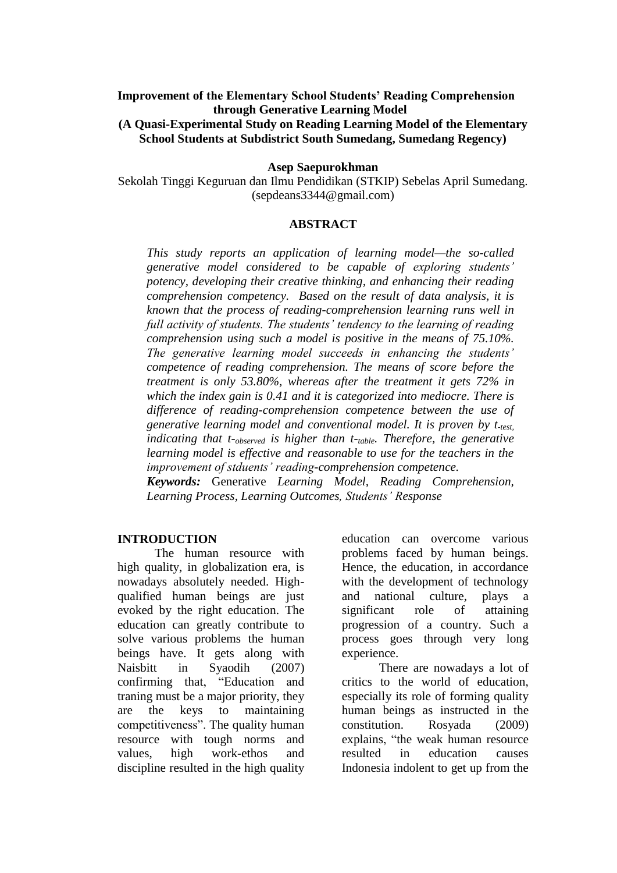### **Improvement of the Elementary School Students' Reading Comprehension through Generative Learning Model**

#### **(A Quasi-Experimental Study on Reading Learning Model of the Elementary School Students at Subdistrict South Sumedang, Sumedang Regency)**

#### **Asep Saepurokhman**

Sekolah Tinggi Keguruan dan Ilmu Pendidikan (STKIP) Sebelas April Sumedang. [\(sepdeans3344@gmail.com\)](mailto:sepdeans3344@gmail.com)

#### **ABSTRACT**

*This study reports an application of learning model—the so-called generative model considered to be capable of exploring students' potency, developing their creative thinking, and enhancing their reading comprehension competency. Based on the result of data analysis, it is known that the process of reading-comprehension learning runs well in full activity of students. The students' tendency to the learning of reading comprehension using such a model is positive in the means of 75.10%. The generative learning model succeeds in enhancing the students' competence of reading comprehension. The means of score before the treatment is only 53.80%, whereas after the treatment it gets 72% in which the index gain is 0.41 and it is categorized into mediocre. There is difference of reading-comprehension competence between the use of generative learning model and conventional model. It is proven by t-test, indicating that t-observed is higher than t-table. Therefore, the generative learning model is effective and reasonable to use for the teachers in the improvement of stduents' reading-comprehension competence.*

*Keywords:* Generative *Learning Model, Reading Comprehension, Learning Process, Learning Outcomes, Students' Response*

#### **INTRODUCTION**

The human resource with high quality, in globalization era, is nowadays absolutely needed. Highqualified human beings are just evoked by the right education. The education can greatly contribute to solve various problems the human beings have. It gets along with Naisbitt in Syaodih (2007) confirming that, "Education and traning must be a major priority, they are the keys to maintaining competitiveness". The quality human resource with tough norms and values, high work-ethos and discipline resulted in the high quality education can overcome various problems faced by human beings. Hence, the education, in accordance with the development of technology and national culture, plays a significant role of attaining progression of a country. Such a process goes through very long experience.

There are nowadays a lot of critics to the world of education, especially its role of forming quality human beings as instructed in the constitution. Rosyada (2009) explains, "the weak human resource resulted in education causes Indonesia indolent to get up from the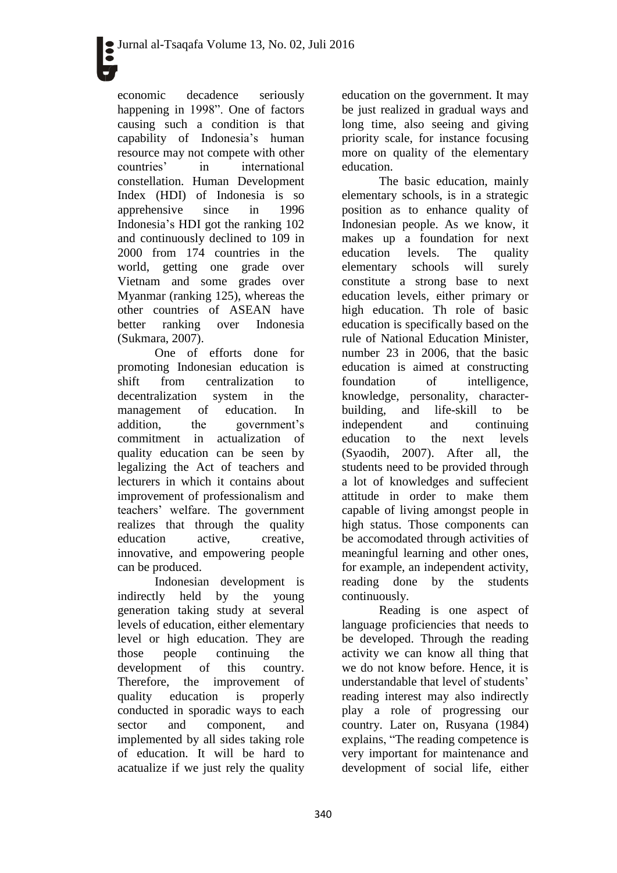economic decadence seriously happening in 1998". One of factors causing such a condition is that capability of Indonesia's human resource may not compete with other countries' in international constellation. Human Development Index (HDI) of Indonesia is so apprehensive since in 1996 Indonesia's HDI got the ranking 102 and continuously declined to 109 in 2000 from 174 countries in the world, getting one grade over Vietnam and some grades over Myanmar (ranking 125), whereas the other countries of ASEAN have better ranking over Indonesia (Sukmara, 2007).

One of efforts done for promoting Indonesian education is shift from centralization to decentralization system in the management of education. In addition, the government's commitment in actualization of quality education can be seen by legalizing the Act of teachers and lecturers in which it contains about improvement of professionalism and teachers' welfare. The government realizes that through the quality education active, creative, innovative, and empowering people can be produced.

Indonesian development is indirectly held by the young generation taking study at several levels of education, either elementary level or high education. They are those people continuing the development of this country. Therefore, the improvement of quality education is properly conducted in sporadic ways to each sector and component, and implemented by all sides taking role of education. It will be hard to acatualize if we just rely the quality

education on the government. It may be just realized in gradual ways and long time, also seeing and giving priority scale, for instance focusing more on quality of the elementary education.

The basic education, mainly elementary schools, is in a strategic position as to enhance quality of Indonesian people. As we know, it makes up a foundation for next education levels. The quality elementary schools will surely constitute a strong base to next education levels, either primary or high education. Th role of basic education is specifically based on the rule of National Education Minister, number 23 in 2006, that the basic education is aimed at constructing foundation of intelligence, knowledge, personality, characterbuilding, and life-skill to be independent and continuing education to the next levels (Syaodih, 2007). After all, the students need to be provided through a lot of knowledges and suffecient attitude in order to make them capable of living amongst people in high status. Those components can be accomodated through activities of meaningful learning and other ones, for example, an independent activity, reading done by the students continuously.

Reading is one aspect of language proficiencies that needs to be developed. Through the reading activity we can know all thing that we do not know before. Hence, it is understandable that level of students' reading interest may also indirectly play a role of progressing our country. Later on, Rusyana (1984) explains, "The reading competence is very important for maintenance and development of social life, either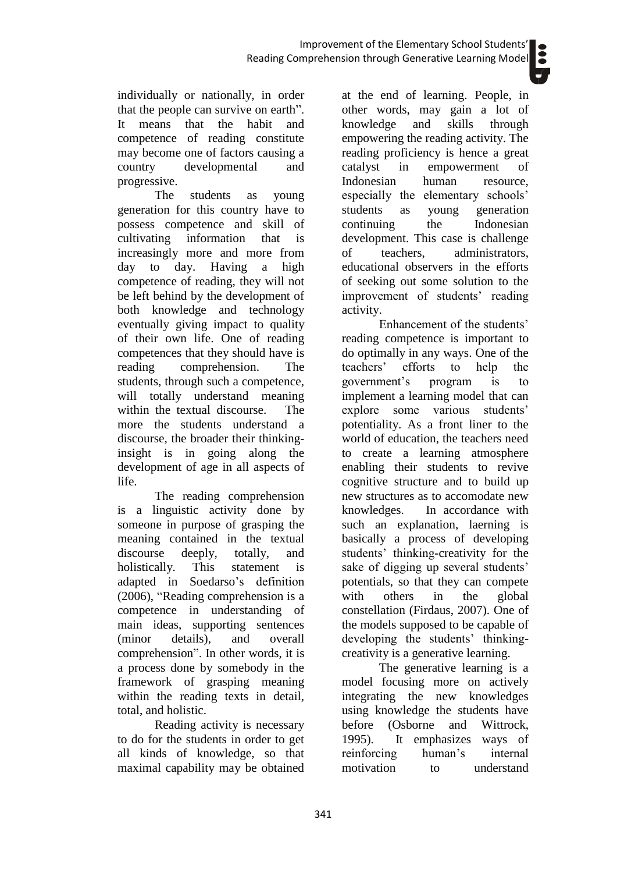individually or nationally, in order that the people can survive on earth". It means that the habit and competence of reading constitute may become one of factors causing a country developmental and progressive.

The students as young generation for this country have to possess competence and skill of cultivating information that is increasingly more and more from day to day. Having a high competence of reading, they will not be left behind by the development of both knowledge and technology eventually giving impact to quality of their own life. One of reading competences that they should have is reading comprehension. The students, through such a competence, will totally understand meaning within the textual discourse. The more the students understand a discourse, the broader their thinkinginsight is in going along the development of age in all aspects of life.

The reading comprehension is a linguistic activity done by someone in purpose of grasping the meaning contained in the textual discourse deeply, totally, and holistically. This statement is adapted in Soedarso's definition (2006), "Reading comprehension is a competence in understanding of main ideas, supporting sentences (minor details), and overall comprehension". In other words, it is a process done by somebody in the framework of grasping meaning within the reading texts in detail, total, and holistic.

Reading activity is necessary to do for the students in order to get all kinds of knowledge, so that maximal capability may be obtained

at the end of learning. People, in other words, may gain a lot of knowledge and skills through empowering the reading activity. The reading proficiency is hence a great catalyst in empowerment of Indonesian human resource, especially the elementary schools' students as young generation continuing the Indonesian development. This case is challenge of teachers, administrators, educational observers in the efforts of seeking out some solution to the improvement of students' reading activity.

Enhancement of the students' reading competence is important to do optimally in any ways. One of the teachers' efforts to help the government's program is to implement a learning model that can explore some various students' potentiality. As a front liner to the world of education, the teachers need to create a learning atmosphere enabling their students to revive cognitive structure and to build up new structures as to accomodate new knowledges. In accordance with such an explanation, laerning is basically a process of developing students' thinking-creativity for the sake of digging up several students' potentials, so that they can compete with others in the global constellation (Firdaus, 2007). One of the models supposed to be capable of developing the students' thinkingcreativity is a generative learning.

The generative learning is a model focusing more on actively integrating the new knowledges using knowledge the students have before (Osborne and Wittrock, 1995). It emphasizes ways of reinforcing human's internal motivation to understand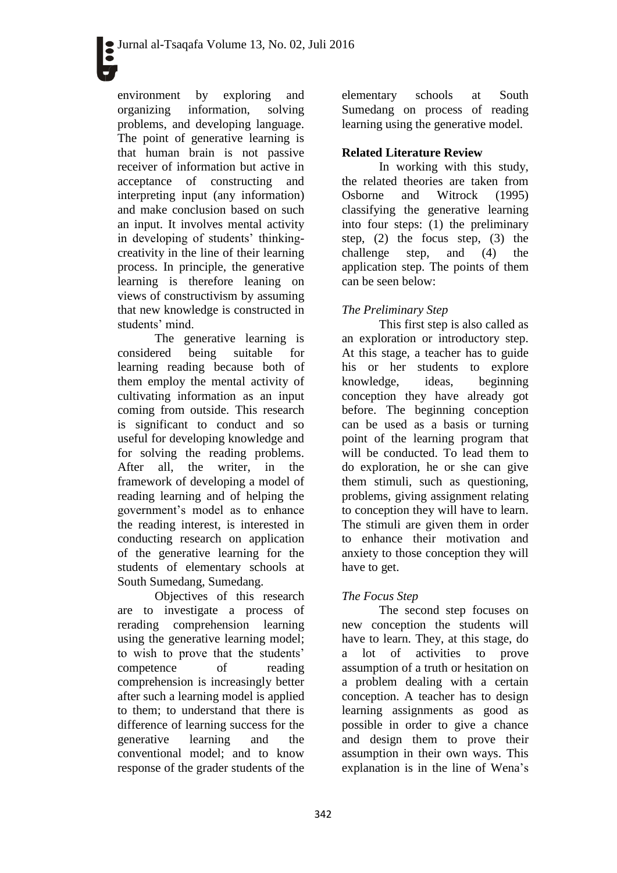environment by exploring and organizing information, solving problems, and developing language. The point of generative learning is that human brain is not passive receiver of information but active in acceptance of constructing and interpreting input (any information) and make conclusion based on such an input. It involves mental activity in developing of students' thinkingcreativity in the line of their learning process. In principle, the generative learning is therefore leaning on views of constructivism by assuming that new knowledge is constructed in students' mind.

The generative learning is considered being suitable for learning reading because both of them employ the mental activity of cultivating information as an input coming from outside. This research is significant to conduct and so useful for developing knowledge and for solving the reading problems. After all, the writer, in the framework of developing a model of reading learning and of helping the government's model as to enhance the reading interest, is interested in conducting research on application of the generative learning for the students of elementary schools at South Sumedang, Sumedang.

Objectives of this research are to investigate a process of rerading comprehension learning using the generative learning model; to wish to prove that the students' competence of reading comprehension is increasingly better after such a learning model is applied to them; to understand that there is difference of learning success for the generative learning and the conventional model; and to know response of the grader students of the

elementary schools at South Sumedang on process of reading learning using the generative model.

## **Related Literature Review**

In working with this study, the related theories are taken from Osborne and Witrock (1995) classifying the generative learning into four steps: (1) the preliminary step, (2) the focus step, (3) the challenge step, and (4) the application step. The points of them can be seen below:

## *The Preliminary Step*

This first step is also called as an exploration or introductory step. At this stage, a teacher has to guide his or her students to explore knowledge, ideas, beginning conception they have already got before. The beginning conception can be used as a basis or turning point of the learning program that will be conducted. To lead them to do exploration, he or she can give them stimuli, such as questioning, problems, giving assignment relating to conception they will have to learn. The stimuli are given them in order to enhance their motivation and anxiety to those conception they will have to get.

## *The Focus Step*

The second step focuses on new conception the students will have to learn. They, at this stage, do a lot of activities to prove assumption of a truth or hesitation on a problem dealing with a certain conception. A teacher has to design learning assignments as good as possible in order to give a chance and design them to prove their assumption in their own ways. This explanation is in the line of Wena's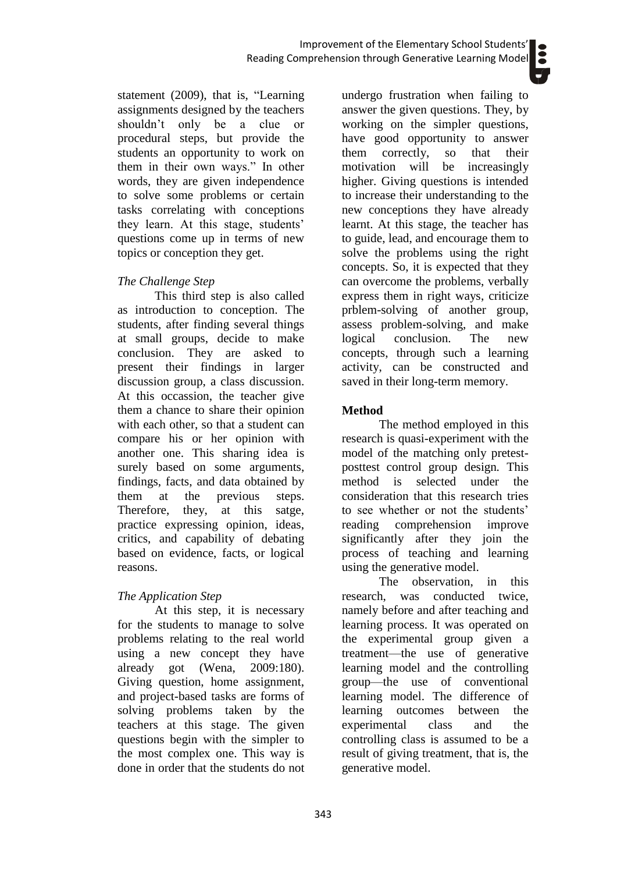statement (2009), that is, "Learning assignments designed by the teachers shouldn't only be a clue or procedural steps, but provide the students an opportunity to work on them in their own ways." In other words, they are given independence to solve some problems or certain tasks correlating with conceptions they learn. At this stage, students' questions come up in terms of new topics or conception they get.

### *The Challenge Step*

This third step is also called as introduction to conception. The students, after finding several things at small groups, decide to make conclusion. They are asked to present their findings in larger discussion group, a class discussion. At this occassion, the teacher give them a chance to share their opinion with each other, so that a student can compare his or her opinion with another one. This sharing idea is surely based on some arguments, findings, facts, and data obtained by them at the previous steps. Therefore, they, at this satge, practice expressing opinion, ideas, critics, and capability of debating based on evidence, facts, or logical reasons.

## *The Application Step*

At this step, it is necessary for the students to manage to solve problems relating to the real world using a new concept they have already got (Wena, 2009:180). Giving question, home assignment, and project-based tasks are forms of solving problems taken by the teachers at this stage. The given questions begin with the simpler to the most complex one. This way is done in order that the students do not undergo frustration when failing to answer the given questions. They, by working on the simpler questions, have good opportunity to answer them correctly, so that their motivation will be increasingly higher. Giving questions is intended to increase their understanding to the new conceptions they have already learnt. At this stage, the teacher has to guide, lead, and encourage them to solve the problems using the right concepts. So, it is expected that they can overcome the problems, verbally express them in right ways, criticize prblem-solving of another group, assess problem-solving, and make logical conclusion. The new concepts, through such a learning activity, can be constructed and saved in their long-term memory.

## **Method**

The method employed in this research is quasi-experiment with the model of the matching only pretestposttest control group design*.* This method is selected under the consideration that this research tries to see whether or not the students' reading comprehension improve significantly after they join the process of teaching and learning using the generative model.

The observation, in this research, was conducted twice, namely before and after teaching and learning process. It was operated on the experimental group given a treatment—the use of generative learning model and the controlling group—the use of conventional learning model. The difference of learning outcomes between the experimental class and the controlling class is assumed to be a result of giving treatment, that is, the generative model.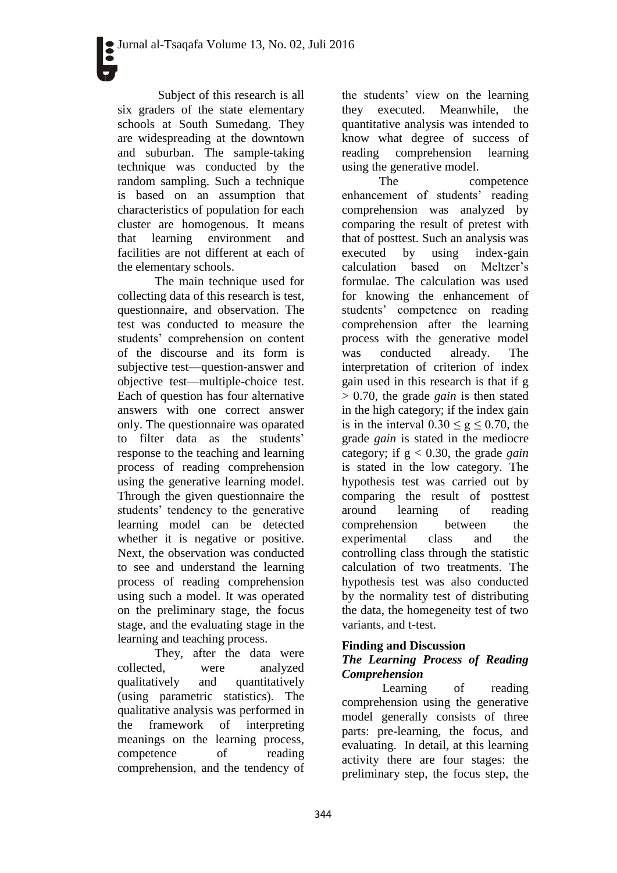Subject of this research is all six graders of the state elementary schools at South Sumedang. They are widespreading at the downtown and suburban. The sample-taking technique was conducted by the random sampling. Such a technique is based on an assumption that characteristics of population for each cluster are homogenous. It means that learning environment and facilities are not different at each of the elementary schools.

The main technique used for collecting data of this research is test, questionnaire, and observation. The test was conducted to measure the students' comprehension on content of the discourse and its form is subjective test—question-answer and objective test—multiple-choice test. Each of question has four alternative answers with one correct answer only. The questionnaire was oparated to filter data as the students' response to the teaching and learning process of reading comprehension using the generative learning model. Through the given questionnaire the students' tendency to the generative learning model can be detected whether it is negative or positive. Next, the observation was conducted to see and understand the learning process of reading comprehension using such a model. It was operated on the preliminary stage, the focus stage, and the evaluating stage in the learning and teaching process.

They, after the data were collected, were analyzed qualitatively and quantitatively (using parametric statistics). The qualitative analysis was performed in the framework of interpreting meanings on the learning process, competence of reading comprehension, and the tendency of the students' view on the learning they executed. Meanwhile, the quantitative analysis was intended to know what degree of success of reading comprehension learning using the generative model.

The competence enhancement of students' reading comprehension was analyzed by comparing the result of pretest with that of posttest. Such an analysis was executed by using index-gain calculation based on Meltzer's formulae. The calculation was used for knowing the enhancement of students' competence on reading comprehension after the learning process with the generative model was conducted already. The interpretation of criterion of index gain used in this research is that if g > 0.70, the grade *gain* is then stated in the high category; if the index gain is in the interval  $0.30 \le g \le 0.70$ , the grade *gain* is stated in the mediocre category; if  $g < 0.30$ , the grade *gain* is stated in the low category. The hypothesis test was carried out by comparing the result of posttest around learning of reading comprehension between the experimental class and the controlling class through the statistic calculation of two treatments. The hypothesis test was also conducted by the normality test of distributing the data, the homegeneity test of two variants, and t-test.

### **Finding and Discussion** *The Learning Process of Reading Comprehension*

Learning of reading comprehension using the generative model generally consists of three parts: pre-learning, the focus, and evaluating. In detail, at this learning activity there are four stages: the preliminary step, the focus step, the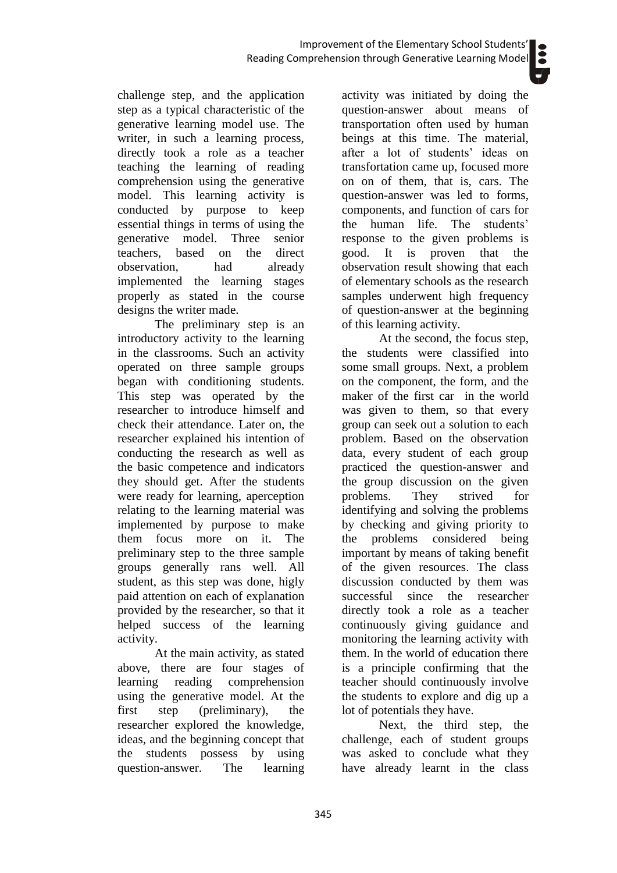challenge step, and the application step as a typical characteristic of the generative learning model use. The writer, in such a learning process, directly took a role as a teacher teaching the learning of reading comprehension using the generative model. This learning activity is conducted by purpose to keep essential things in terms of using the generative model. Three senior teachers, based on the direct observation, had already implemented the learning stages properly as stated in the course designs the writer made.

The preliminary step is an introductory activity to the learning in the classrooms. Such an activity operated on three sample groups began with conditioning students. This step was operated by the researcher to introduce himself and check their attendance. Later on, the researcher explained his intention of conducting the research as well as the basic competence and indicators they should get. After the students were ready for learning, aperception relating to the learning material was implemented by purpose to make them focus more on it. The preliminary step to the three sample groups generally rans well. All student, as this step was done, higly paid attention on each of explanation provided by the researcher, so that it helped success of the learning activity.

At the main activity, as stated above, there are four stages of learning reading comprehension using the generative model. At the first step (preliminary), the researcher explored the knowledge, ideas, and the beginning concept that the students possess by using question-answer. The learning

activity was initiated by doing the question-answer about means of transportation often used by human beings at this time. The material, after a lot of students' ideas on transfortation came up, focused more on on of them, that is, cars. The question-answer was led to forms, components, and function of cars for the human life. The students' response to the given problems is good. It is proven that the observation result showing that each of elementary schools as the research samples underwent high frequency of question-answer at the beginning of this learning activity.

At the second, the focus step, the students were classified into some small groups. Next, a problem on the component, the form, and the maker of the first car in the world was given to them, so that every group can seek out a solution to each problem. Based on the observation data, every student of each group practiced the question-answer and the group discussion on the given problems. They strived for identifying and solving the problems by checking and giving priority to the problems considered being important by means of taking benefit of the given resources. The class discussion conducted by them was successful since the researcher directly took a role as a teacher continuously giving guidance and monitoring the learning activity with them. In the world of education there is a principle confirming that the teacher should continuously involve the students to explore and dig up a lot of potentials they have.

Next, the third step, the challenge, each of student groups was asked to conclude what they have already learnt in the class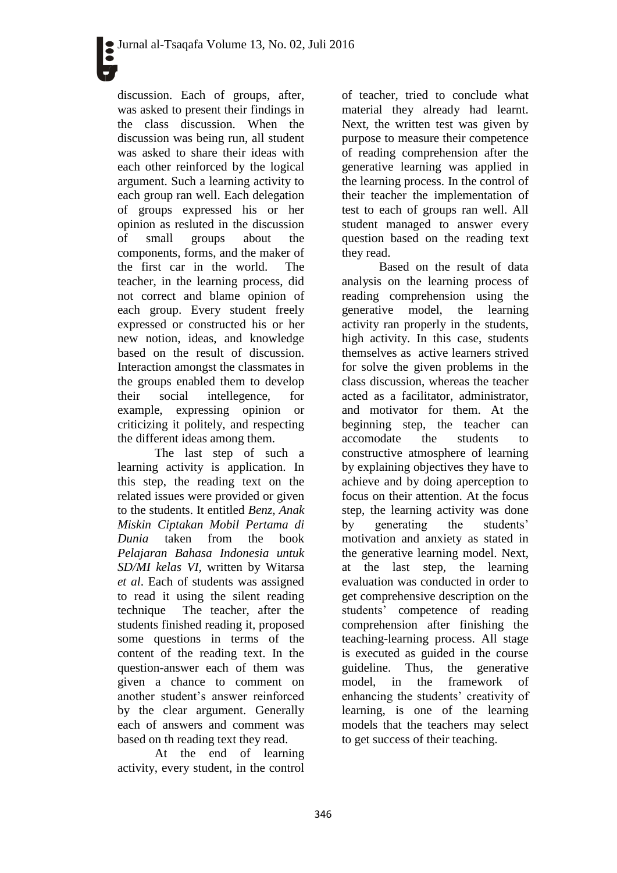discussion. Each of groups, after, was asked to present their findings in the class discussion. When the discussion was being run, all student was asked to share their ideas with each other reinforced by the logical argument. Such a learning activity to each group ran well. Each delegation of groups expressed his or her opinion as resluted in the discussion of small groups about the components, forms, and the maker of the first car in the world. The teacher, in the learning process, did not correct and blame opinion of each group. Every student freely expressed or constructed his or her new notion, ideas, and knowledge based on the result of discussion. Interaction amongst the classmates in the groups enabled them to develop their social intellegence, for example, expressing opinion or criticizing it politely, and respecting the different ideas among them.

The last step of such a learning activity is application. In this step, the reading text on the related issues were provided or given to the students. It entitled *Benz, Anak Miskin Ciptakan Mobil Pertama di Dunia* taken from the book *Pelajaran Bahasa Indonesia untuk SD/MI kelas VI,* written by Witarsa *et al*. Each of students was assigned to read it using the silent reading technique The teacher, after the students finished reading it, proposed some questions in terms of the content of the reading text. In the question-answer each of them was given a chance to comment on another student's answer reinforced by the clear argument. Generally each of answers and comment was based on th reading text they read.

At the end of learning activity, every student, in the control

of teacher, tried to conclude what material they already had learnt. Next, the written test was given by purpose to measure their competence of reading comprehension after the generative learning was applied in the learning process. In the control of their teacher the implementation of test to each of groups ran well. All student managed to answer every question based on the reading text they read.

Based on the result of data analysis on the learning process of reading comprehension using the generative model, the learning activity ran properly in the students, high activity. In this case, students themselves as active learners strived for solve the given problems in the class discussion, whereas the teacher acted as a facilitator, administrator, and motivator for them. At the beginning step, the teacher can accomodate the students to constructive atmosphere of learning by explaining objectives they have to achieve and by doing aperception to focus on their attention. At the focus step, the learning activity was done by generating the students' motivation and anxiety as stated in the generative learning model. Next, at the last step, the learning evaluation was conducted in order to get comprehensive description on the students' competence of reading comprehension after finishing the teaching-learning process. All stage is executed as guided in the course guideline. Thus, the generative model, in the framework of enhancing the students' creativity of learning, is one of the learning models that the teachers may select to get success of their teaching.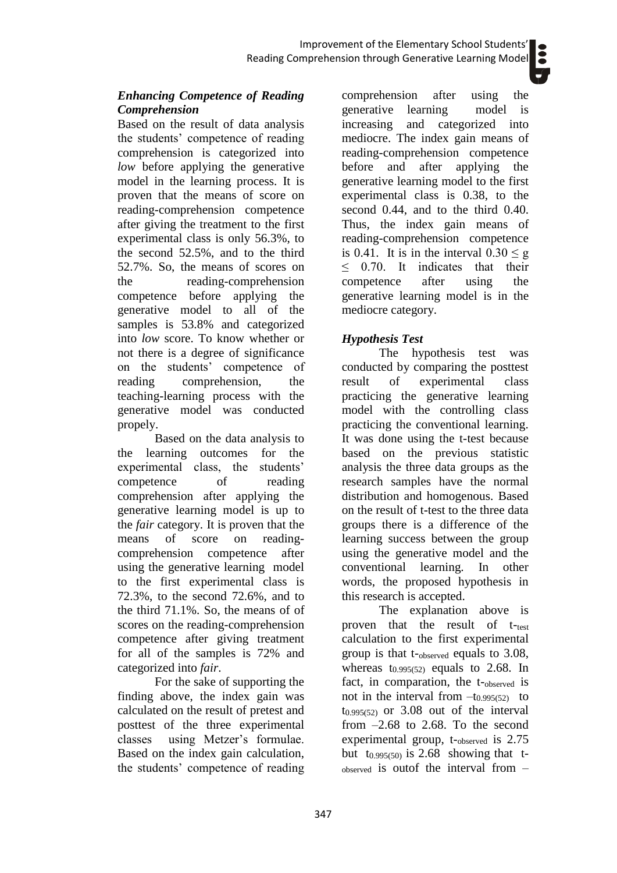Based on the result of data analysis the students' competence of reading comprehension is categorized into *low* before applying the generative model in the learning process. It is proven that the means of score on reading-comprehension competence after giving the treatment to the first experimental class is only 56.3%, to the second 52.5%, and to the third 52.7%. So, the means of scores on the reading-comprehension competence before applying the generative model to all of the samples is 53.8% and categorized into *low* score. To know whether or not there is a degree of significance on the students' competence of reading comprehension, the teaching-learning process with the generative model was conducted propely.

Based on the data analysis to the learning outcomes for the experimental class, the students' competence of reading comprehension after applying the generative learning model is up to the *fair* category. It is proven that the means of score on readingcomprehension competence after using the generative learning model to the first experimental class is 72.3%, to the second 72.6%, and to the third 71.1%. So, the means of of scores on the reading-comprehension competence after giving treatment for all of the samples is 72% and categorized into *fair*.

For the sake of supporting the finding above, the index gain was calculated on the result of pretest and posttest of the three experimental classes using Metzer's formulae. Based on the index gain calculation, the students' competence of reading comprehension after using the<br>generative learning model is generative learning increasing and categorized into mediocre. The index gain means of reading-comprehension competence before and after applying the generative learning model to the first experimental class is 0.38, to the second 0.44, and to the third 0.40. Thus, the index gain means of reading-comprehension competence is 0.41. It is in the interval  $0.30 < g$  $\leq$  0.70. It indicates that their competence after using the generative learning model is in the mediocre category.

# *Hypothesis Test*

The hypothesis test was conducted by comparing the posttest result of experimental class practicing the generative learning model with the controlling class practicing the conventional learning. It was done using the t-test because based on the previous statistic analysis the three data groups as the research samples have the normal distribution and homogenous. Based on the result of t-test to the three data groups there is a difference of the learning success between the group using the generative model and the conventional learning. In other words, the proposed hypothesis in this research is accepted.

The explanation above is proven that the result of t-test calculation to the first experimental group is that t-observed equals to 3.08, whereas  $t_{0.995(52)}$  equals to 2.68. In fact, in comparation, the t-observed is not in the interval from  $-t_{0.995(52)}$  to  $t_{0.995(52)}$  or 3.08 out of the interval from  $-2.68$  to 2.68. To the second experimental group, t-observed is 2.75 but t<sub>0.995(50)</sub> is 2.68 showing that tobserved is outof the interval from –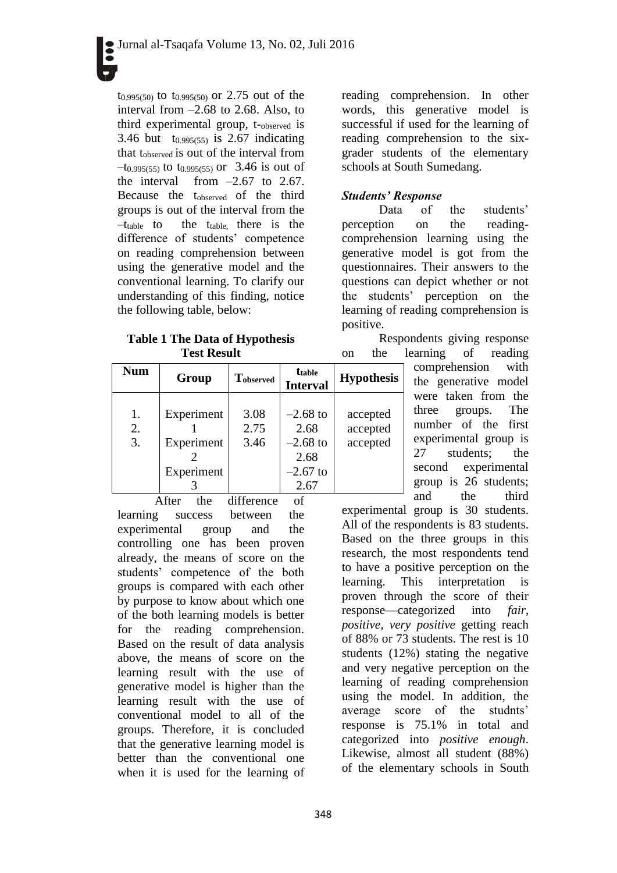t0.995(50) to t0.995(50) or 2.75 out of the interval from –2.68 to 2.68. Also, to third experimental group, t-observed is 3.46 but  $t_{0.995(55)}$  is 2.67 indicating that tobserved is out of the interval from  $-t_{0.995(55)}$  to  $t_{0.995(55)}$  or 3.46 is out of the interval from  $-2.67$  to 2.67. Because the tobserved of the third groups is out of the interval from the  $-t_{table}$  to the t<sub>table</sub> there is the difference of students' competence on reading comprehension between using the generative model and the conventional learning. To clarify our understanding of this finding, notice the following table, below:

#### **Table 1 The Data of Hypothesis Test Result**

| <b>Num</b>     | Group                                  | <b>Tobserved</b>     | <b>t</b> table<br><b>Interval</b>                              | <b>Hypothesis</b>                |
|----------------|----------------------------------------|----------------------|----------------------------------------------------------------|----------------------------------|
| 1.<br>2.<br>3. | Experiment<br>Experiment<br>Experiment | 3.08<br>2.75<br>3.46 | $-2.68$ to<br>2.68<br>$-2.68$ to<br>2.68<br>$-2.67$ to<br>2.67 | accepted<br>accepted<br>accepted |

After the difference of learning success between the experimental group and the controlling one has been proven already, the means of score on the students' competence of the both groups is compared with each other by purpose to know about which one of the both learning models is better for the reading comprehension. Based on the result of data analysis above, the means of score on the learning result with the use of generative model is higher than the learning result with the use of conventional model to all of the groups. Therefore, it is concluded that the generative learning model is better than the conventional one when it is used for the learning of reading comprehension. In other words, this generative model is successful if used for the learning of reading comprehension to the sixgrader students of the elementary schools at South Sumedang.

# *Students' Response*

Data of the students' perception on the readingcomprehension learning using the generative model is got from the questionnaires. Their answers to the questions can depict whether or not the students' perception on the learning of reading comprehension is positive.

Respondents giving response on the learning of reading

comprehension with the generative model were taken from the three groups. The number of the first experimental group is 27 students; the second experimental group is 26 students; and the third

experimental group is 30 students. All of the respondents is 83 students. Based on the three groups in this research, the most respondents tend to have a positive perception on the learning. This interpretation is proven through the score of their response—categorized into *fair*, *positive*, *very positive* getting reach of 88% or 73 students. The rest is 10 students (12%) stating the negative and very negative perception on the learning of reading comprehension using the model. In addition, the average score of the studnts' response is 75.1% in total and categorized into *positive enough*. Likewise, almost all student (88%) of the elementary schools in South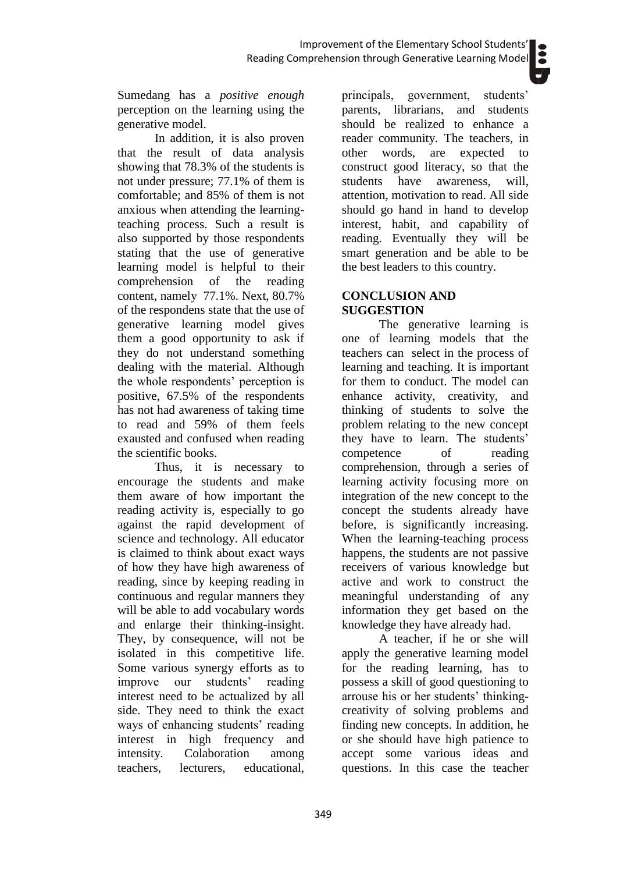Sumedang has a *positive enough* perception on the learning using the generative model.

In addition, it is also proven that the result of data analysis showing that 78.3% of the students is not under pressure; 77.1% of them is comfortable; and 85% of them is not anxious when attending the learningteaching process. Such a result is also supported by those respondents stating that the use of generative learning model is helpful to their comprehension of the reading content, namely 77.1%. Next, 80.7% of the respondens state that the use of generative learning model gives them a good opportunity to ask if they do not understand something dealing with the material. Although the whole respondents' perception is positive, 67.5% of the respondents has not had awareness of taking time to read and 59% of them feels exausted and confused when reading the scientific books.

Thus, it is necessary to encourage the students and make them aware of how important the reading activity is, especially to go against the rapid development of science and technology. All educator is claimed to think about exact ways of how they have high awareness of reading, since by keeping reading in continuous and regular manners they will be able to add vocabulary words and enlarge their thinking-insight. They, by consequence, will not be isolated in this competitive life. Some various synergy efforts as to improve our students' reading interest need to be actualized by all side. They need to think the exact ways of enhancing students' reading interest in high frequency and intensity. Colaboration among teachers, lecturers, educational,

principals, government, students' parents, librarians, and students should be realized to enhance a reader community. The teachers, in other words, are expected to construct good literacy, so that the students have awareness, will, attention, motivation to read. All side should go hand in hand to develop interest, habit, and capability of reading. Eventually they will be smart generation and be able to be the best leaders to this country.

### **CONCLUSION AND SUGGESTION**

The generative learning is one of learning models that the teachers can select in the process of learning and teaching. It is important for them to conduct. The model can enhance activity, creativity, and thinking of students to solve the problem relating to the new concept they have to learn. The students' competence of reading comprehension, through a series of learning activity focusing more on integration of the new concept to the concept the students already have before, is significantly increasing. When the learning-teaching process happens, the students are not passive receivers of various knowledge but active and work to construct the meaningful understanding of any information they get based on the knowledge they have already had.

A teacher, if he or she will apply the generative learning model for the reading learning, has to possess a skill of good questioning to arrouse his or her students' thinkingcreativity of solving problems and finding new concepts. In addition, he or she should have high patience to accept some various ideas and questions. In this case the teacher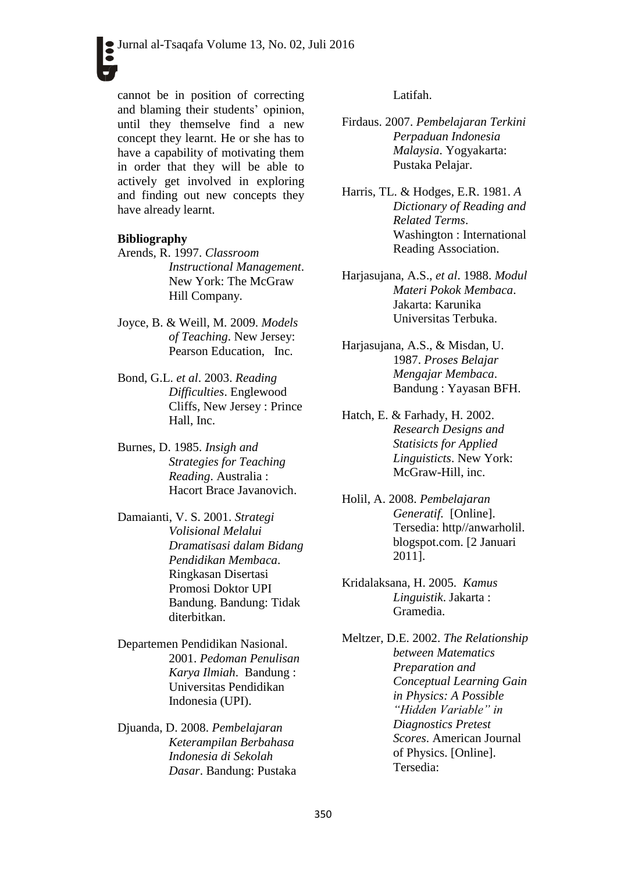cannot be in position of correcting and blaming their students' opinion, until they themselve find a new concept they learnt. He or she has to have a capability of motivating them in order that they will be able to actively get involved in exploring and finding out new concepts they have already learnt.

#### **Bibliography**

- Arends, R. 1997. *Classroom Instructional Management*. New York: The McGraw Hill Company.
- Joyce, B. & Weill, M*.* 2009. *Models of Teaching*. New Jersey: Pearson Education, Inc.
- Bond, G.L. *et al*. 2003. *Reading Difficulties*. Englewood Cliffs, New Jersey : Prince Hall, Inc.
- Burnes, D. 1985. *Insigh and Strategies for Teaching Reading*. Australia : Hacort Brace Javanovich.
- Damaianti, V. S. 2001. *Strategi Volisional Melalui Dramatisasi dalam Bidang Pendidikan Membaca*. Ringkasan Disertasi Promosi Doktor UPI Bandung. Bandung: Tidak diterbitkan.
- Departemen Pendidikan Nasional. 2001. *Pedoman Penulisan Karya Ilmiah*. Bandung : Universitas Pendidikan Indonesia (UPI).
- Djuanda, D. 2008. *Pembelajaran Keterampilan Berbahasa Indonesia di Sekolah Dasar*. Bandung: Pustaka

Latifah.

- Firdaus. 2007. *Pembelajaran Terkini Perpaduan Indonesia Malaysia*. Yogyakarta: Pustaka Pelajar.
- Harris, TL. & Hodges, E.R. 1981. *A Dictionary of Reading and Related Terms*. Washington : International Reading Association.
- Harjasujana, A.S., *et al*. 1988. *Modul Materi Pokok Membaca*. Jakarta: Karunika Universitas Terbuka.
- Harjasujana, A.S., & Misdan, U. 1987. *Proses Belajar Mengajar Membaca*. Bandung : Yayasan BFH.
- Hatch, E. & Farhady, H. 2002. *Research Designs and Statisicts for Applied Linguisticts*. New York: McGraw-Hill, inc.
- Holil, A. 2008. *Pembelajaran Generatif.* [Online]. Tersedia: http//anwarholil. blogspot.com. [2 Januari 2011].
- Kridalaksana, H. 2005. *Kamus Linguistik*. Jakarta : Gramedia.
- Meltzer, D.E. 2002. *The Relationship between Matematics Preparation and Conceptual Learning Gain in Physics: A Possible "Hidden Variable" in Diagnostics Pretest Scores*. American Journal of Physics. [Online]. Tersedia: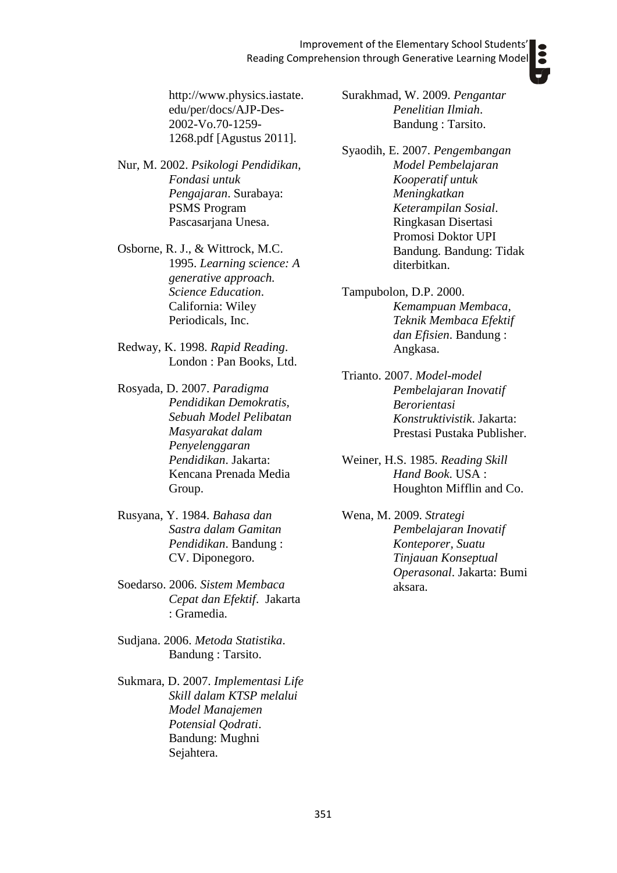[http://www.physics.iastate.](http://www.physics.iastate.edu/per/docs/AJP-Des-2002-Vo.70-1259-1268.pdf) [edu/per/docs/AJP-Des-](http://www.physics.iastate.edu/per/docs/AJP-Des-2002-Vo.70-1259-1268.pdf)[2002-Vo.70-1259-](http://www.physics.iastate.edu/per/docs/AJP-Des-2002-Vo.70-1259-1268.pdf) [1268.pdf](http://www.physics.iastate.edu/per/docs/AJP-Des-2002-Vo.70-1259-1268.pdf) [Agustus 2011].

- Nur, M. 2002. *Psikologi Pendidikan, Fondasi untuk Pengajaran*. Surabaya: PSMS Program Pascasarjana Unesa.
- Osborne, R. J., & Wittrock, M.C. 1995. *Learning science: A generative approach. Science Education*. California: Wiley Periodicals, Inc.
- Redway, K. 1998. *Rapid Reading*. London : Pan Books, Ltd.
- Rosyada, D. 2007. *Paradigma Pendidikan Demokratis, Sebuah Model Pelibatan Masyarakat dalam Penyelenggaran Pendidikan*. Jakarta: Kencana Prenada Media Group.
- Rusyana, Y. 1984. *Bahasa dan Sastra dalam Gamitan Pendidikan*. Bandung : CV. Diponegoro.
- Soedarso. 2006. *Sistem Membaca Cepat dan Efektif*. Jakarta : Gramedia.
- Sudjana. 2006. *Metoda Statistika*. Bandung : Tarsito.
- Sukmara, D. 2007. *Implementasi Life Skill dalam KTSP melalui Model Manajemen Potensial Qodrati*. Bandung: Mughni Sejahtera.

Surakhmad, W. 2009. *Pengantar Penelitian Ilmiah*. Bandung : Tarsito.

- Syaodih, E. 2007. *Pengembangan Model Pembelajaran Kooperatif untuk Meningkatkan Keterampilan Sosial*. Ringkasan Disertasi Promosi Doktor UPI Bandung. Bandung: Tidak diterbitkan.
- Tampubolon, D.P. 2000. *Kemampuan Membaca, Teknik Membaca Efektif dan Efisien*. Bandung : Angkasa.
- Trianto. 2007. *Model-model Pembelajaran Inovatif Berorientasi Konstruktivistik*. Jakarta: Prestasi Pustaka Publisher.
- Weiner, H.S. 1985. *Reading Skill Hand Book*. USA : Houghton Mifflin and Co.
- Wena, M. 2009. *Strategi Pembelajaran Inovatif Konteporer, Suatu Tinjauan Konseptual Operasonal*. Jakarta: Bumi aksara.